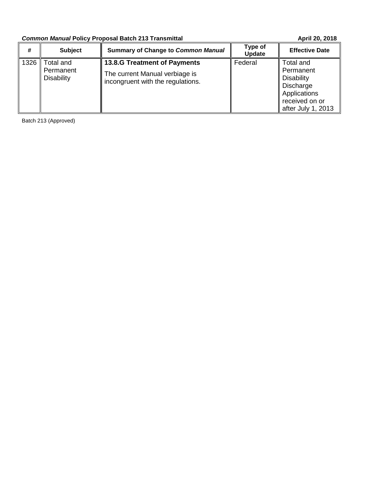# **Common Manual Policy Proposal Batch 213 Transmittal <b>April 20, 2018** April 20, 2018

| #    | <b>Subject</b>                              | <b>Summary of Change to Common Manual</b>                                                                  | Type of<br><b>Update</b> | <b>Effective Date</b>                                                                                            |
|------|---------------------------------------------|------------------------------------------------------------------------------------------------------------|--------------------------|------------------------------------------------------------------------------------------------------------------|
| 1326 | Гоtal and<br>Permanent<br><b>Disability</b> | <b>13.8.G Treatment of Payments</b><br>The current Manual verbiage is<br>incongruent with the regulations. | Federal                  | Total and<br>Permanent<br><b>Disability</b><br>Discharge<br>Applications<br>received on or<br>after July 1, 2013 |

Batch 213 (Approved)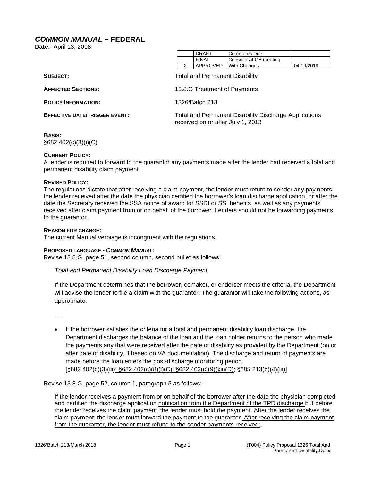## <span id="page-1-0"></span>*COMMON MANUAL* **– FEDERAL**

**Date:** April 13, 2018

|  | DRAFT        | Comments Due            |            |
|--|--------------|-------------------------|------------|
|  | <b>FINAL</b> | Consider at GB meeting  |            |
|  |              | APPROVED   With Changes | 04/19/2018 |

| SUBJECT:                             | <b>Total and Permanent Disability</b>                                                             |
|--------------------------------------|---------------------------------------------------------------------------------------------------|
| <b>AFFECTED SECTIONS:</b>            | 13.8.G Treatment of Payments                                                                      |
| <b>POLICY INFORMATION:</b>           | 1326/Batch 213                                                                                    |
| <b>EFFECTIVE DATE/TRIGGER EVENT:</b> | <b>Total and Permanent Disability Discharge Applications</b><br>received on or after July 1, 2013 |
| <b>DACIC.</b>                        |                                                                                                   |

## **BASIS:**

§682.402(c)(8)(i)(C)

## **CURRENT POLICY:**

A lender is required to forward to the guarantor any payments made after the lender had received a total and permanent disability claim payment.

#### **REVISED POLICY:**

The regulations dictate that after receiving a claim payment, the lender must return to sender any payments the lender received after the date the physician certified the borrower's loan discharge application, or after the date the Secretary received the SSA notice of award for SSDI or SSI benefits, as well as any payments received after claim payment from or on behalf of the borrower. Lenders should not be forwarding payments to the guarantor.

#### **REASON FOR CHANGE:**

The current Manual verbiage is incongruent with the regulations.

## **PROPOSED LANGUAGE -** *COMMON MANUAL***:**

Revise 13.8.G, page 51, second column, second bullet as follows:

## *Total and Permanent Disability Loan Discharge Payment*

If the Department determines that the borrower, comaker, or endorser meets the criteria, the Department will advise the lender to file a claim with the guarantor. The guarantor will take the following actions, as appropriate:

**. . .**

• If the borrower satisfies the criteria for a total and permanent disability loan discharge, the Department discharges the balance of the loan and the loan holder returns to the person who made the payments any that were received after the date of disability as provided by the Department (on or after date of disability, if based on VA documentation). The discharge and return of payments are made before the loan enters the post-discharge monitoring period.  $[§682.402(c)(3)(iii), §682.402(c)(8)(i)(C); §682.402(c)(9)(xi)(D); §685.213(b)(4)(iii)]$ 

Revise 13.8.G, page 52, column 1, paragraph 5 as follows:

If the lender receives a payment from or on behalf of the borrower after the date the physician completed and certified the discharge application notification from the Department of the TPD discharge but before the lender receives the claim payment, the lender must hold the payment. After the lender receives the claim payment, the lender must forward the payment to the guarantor. After receiving the claim payment from the guarantor, the lender must refund to the sender payments received: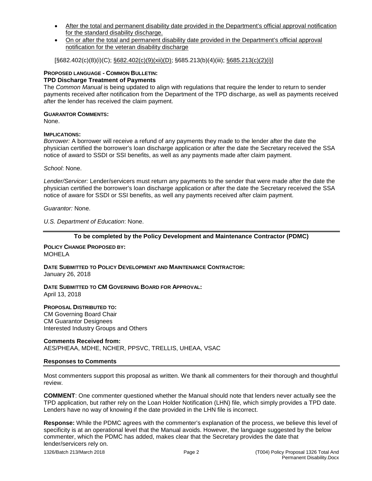- After the total and permanent disability date provided in the Department's official approval notification for the standard disability discharge.
- On or after the total and permanent disability date provided in the Department's official approval notification for the veteran disability discharge

[§682.402(c)(8)(i)(C); §682.402(c)(9)(xii)(D); §685.213(b)(4)(iii); §685.213(c)(2)(i)]

## **PROPOSED LANGUAGE - COMMON BULLETIN:**

## **TPD Discharge Treatment of Payments**

The *Common Manual* is being updated to align with regulations that require the lender to return to sender payments received after notification from the Department of the TPD discharge, as well as payments received after the lender has received the claim payment.

## **GUARANTOR COMMENTS:**

None.

## **IMPLICATIONS:**

*Borrower:* A borrower will receive a refund of any payments they made to the lender after the date the physician certified the borrower's loan discharge application or after the date the Secretary received the SSA notice of award to SSDI or SSI benefits, as well as any payments made after claim payment.

*School*: None.

*Lender/Servicer:* Lender/servicers must return any payments to the sender that were made after the date the physician certified the borrower's loan discharge application or after the date the Secretary received the SSA notice of aware for SSDI or SSI benefits, as well any payments received after claim payment.

*Guarantor:* None.

*U.S. Department of Education*: None.

## **To be completed by the Policy Development and Maintenance Contractor (PDMC)**

**POLICY CHANGE PROPOSED BY:** MOHELA

**DATE SUBMITTED TO POLICY DEVELOPMENT AND MAINTENANCE CONTRACTOR:** January 26, 2018

**DATE SUBMITTED TO CM GOVERNING BOARD FOR APPROVAL:** April 13, 2018

**PROPOSAL DISTRIBUTED TO:**

CM Governing Board Chair CM Guarantor Designees Interested Industry Groups and Others

**Comments Received from:** AES/PHEAA, MDHE, NCHER, PPSVC, TRELLIS, UHEAA, VSAC

## **Responses to Comments**

Most commenters support this proposal as written. We thank all commenters for their thorough and thoughtful review.

**COMMENT**: One commenter questioned whether the Manual should note that lenders never actually see the TPD application, but rather rely on the Loan Holder Notification (LHN) file, which simply provides a TPD date. Lenders have no way of knowing if the date provided in the LHN file is incorrect.

**Response:** While the PDMC agrees with the commenter's explanation of the process, we believe this level of specificity is at an operational level that the Manual avoids. However, the language suggested by the below commenter, which the PDMC has added, makes clear that the Secretary provides the date that lender/servicers rely on.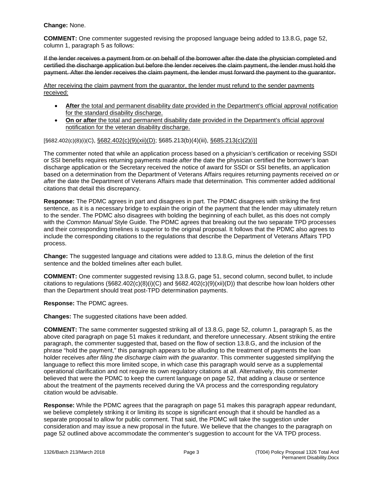**Change:** None.

**COMMENT:** One commenter suggested revising the proposed language being added to 13.8.G, page 52, column 1, paragraph 5 as follows:

If the lender receives a payment from or on behalf of the borrower after the date the physician completed and certified the discharge application but before the lender receives the claim payment, the lender must hold the payment. After the lender receives the claim payment, the lender must forward the payment to the guarantor.

After receiving the claim payment from the guarantor, the lender must refund to the sender payments received:

- After the total and permanent disability date provided in the Department's official approval notification for the standard disability discharge.
- **On or after** the total and permanent disability date provided in the Department's official approval notification for the veteran disability discharge.

## [§682.402(c)(8)(i)(C), §682.402(c)(9)(xii)(D); §685.213(b)(4)(iii), §685.213(c)(2)(i)]

The commenter noted that while an application process based on a physician's certification or receiving SSDI or SSI benefits requires returning payments made *after* the date the physician certified the borrower's loan discharge application or the Secretary received the notice of award for SSDI or SSI benefits, an application based on a determination from the Department of Veterans Affairs requires returning payments received *on or after* the date the Department of Veterans Affairs made that determination. This commenter added additional citations that detail this discrepancy.

**Response:** The PDMC agrees in part and disagrees in part. The PDMC disagrees with striking the first sentence, as it is a necessary bridge to explain the origin of the payment that the lender may ultimately return to the sender. The PDMC also disagrees with bolding the beginning of each bullet, as this does not comply with the *Common Manual* Style Guide. The PDMC agrees that breaking out the two separate TPD processes and their corresponding timelines is superior to the original proposal. It follows that the PDMC also agrees to include the corresponding citations to the regulations that describe the Department of Veterans Affairs TPD process.

**Change:** The suggested language and citations were added to 13.8.G, minus the deletion of the first sentence and the bolded timelines after each bullet.

**COMMENT:** One commenter suggested revising 13.8.G, page 51, second column, second bullet, to include citations to regulations (§682.402(c)(8)(i)(C) and §682.402(c)(9)(xii)(D)) that describe how loan holders other than the Department should treat post-TPD determination payments.

**Response:** The PDMC agrees.

**Changes:** The suggested citations have been added.

**COMMENT:** The same commenter suggested striking all of 13.8.G, page 52, column 1, paragraph 5, as the above cited paragraph on page 51 makes it redundant, and therefore unnecessary. Absent striking the entire paragraph, the commenter suggested that, based on the flow of section 13.8.G, and the inclusion of the phrase "hold the payment," this paragraph appears to be alluding to the treatment of payments the loan holder receives *after filing the discharge claim with the guarantor*. This commenter suggested simplifying the language to reflect this more limited scope, in which case this paragraph would serve as a supplemental operational clarification and not require its own regulatory citations at all. Alternatively, this commenter believed that were the PDMC to keep the current language on page 52, that adding a clause or sentence about the treatment of the payments received during the VA process and the corresponding regulatory citation would be advisable.

**Response:** While the PDMC agrees that the paragraph on page 51 makes this paragraph appear redundant, we believe completely striking it or limiting its scope is significant enough that it should be handled as a separate proposal to allow for public comment. That said, the PDMC will take the suggestion under consideration and may issue a new proposal in the future. We believe that the changes to the paragraph on page 52 outlined above accommodate the commenter's suggestion to account for the VA TPD process.